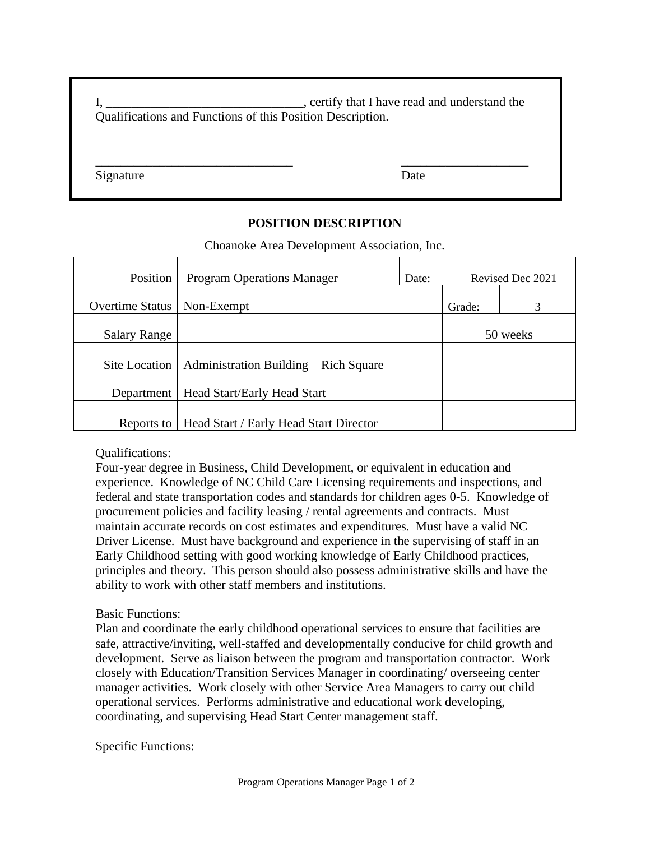I, Letter that I have read and understand the I, contains a set of the set of the set of the set of the set of the set of the set of the set of the set of the set of the set of the set of the set of the set of the set of t Qualifications and Functions of this Position Description.

\_\_\_\_\_\_\_\_\_\_\_\_\_\_\_\_\_\_\_\_\_\_\_\_\_\_\_\_\_\_\_ \_\_\_\_\_\_\_\_\_\_\_\_\_\_\_\_\_\_\_\_

Signature Date

## **POSITION DESCRIPTION**

Choanoke Area Development Association, Inc.

| Position               | <b>Program Operations Manager</b>      | Date: | Revised Dec 2021 |   |  |
|------------------------|----------------------------------------|-------|------------------|---|--|
| <b>Overtime Status</b> | Non-Exempt                             |       | Grade:           | 3 |  |
| <b>Salary Range</b>    |                                        |       | 50 weeks         |   |  |
| Site Location          | Administration Building – Rich Square  |       |                  |   |  |
| Department             | Head Start/Early Head Start            |       |                  |   |  |
| Reports to             | Head Start / Early Head Start Director |       |                  |   |  |

## Qualifications:

Four-year degree in Business, Child Development, or equivalent in education and experience. Knowledge of NC Child Care Licensing requirements and inspections, and federal and state transportation codes and standards for children ages 0-5. Knowledge of procurement policies and facility leasing / rental agreements and contracts. Must maintain accurate records on cost estimates and expenditures. Must have a valid NC Driver License. Must have background and experience in the supervising of staff in an Early Childhood setting with good working knowledge of Early Childhood practices, principles and theory. This person should also possess administrative skills and have the ability to work with other staff members and institutions.

## Basic Functions:

Plan and coordinate the early childhood operational services to ensure that facilities are safe, attractive/inviting, well-staffed and developmentally conducive for child growth and development. Serve as liaison between the program and transportation contractor. Work closely with Education/Transition Services Manager in coordinating/ overseeing center manager activities. Work closely with other Service Area Managers to carry out child operational services. Performs administrative and educational work developing, coordinating, and supervising Head Start Center management staff.

## Specific Functions: